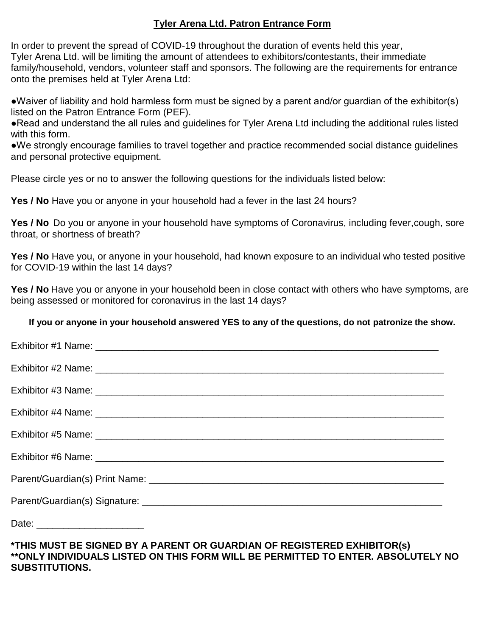### **Tyler Arena Ltd. Patron Entrance Form**

In order to prevent the spread of COVID-19 throughout the duration of events held this year, Tyler Arena Ltd. will be limiting the amount of attendees to exhibitors/contestants, their immediate family/household, vendors, volunteer staff and sponsors. The following are the requirements for entrance onto the premises held at Tyler Arena Ltd:

●Waiver of liability and hold harmless form must be signed by a parent and/or guardian of the exhibitor(s) listed on the Patron Entrance Form (PEF).

●Read and understand the all rules and guidelines for Tyler Arena Ltd including the additional rules listed with this form.

●We strongly encourage families to travel together and practice recommended social distance guidelines and personal protective equipment.

Please circle yes or no to answer the following questions for the individuals listed below:

**Yes / No** Have you or anyone in your household had a fever in the last 24 hours?

Yes / No Do you or anyone in your household have symptoms of Coronavirus, including fever, cough, sore throat, or shortness of breath?

**Yes / No** Have you, or anyone in your household, had known exposure to an individual who tested positive for COVID-19 within the last 14 days?

Yes / No Have you or anyone in your household been in close contact with others who have symptoms, are being assessed or monitored for coronavirus in the last 14 days?

#### **If you or anyone in your household answered YES to any of the questions, do not patronize the show.**

### **\*THIS MUST BE SIGNED BY A PARENT OR GUARDIAN OF REGISTERED EXHIBITOR(s) \*\*ONLY INDIVIDUALS LISTED ON THIS FORM WILL BE PERMITTED TO ENTER. ABSOLUTELY NO SUBSTITUTIONS.**